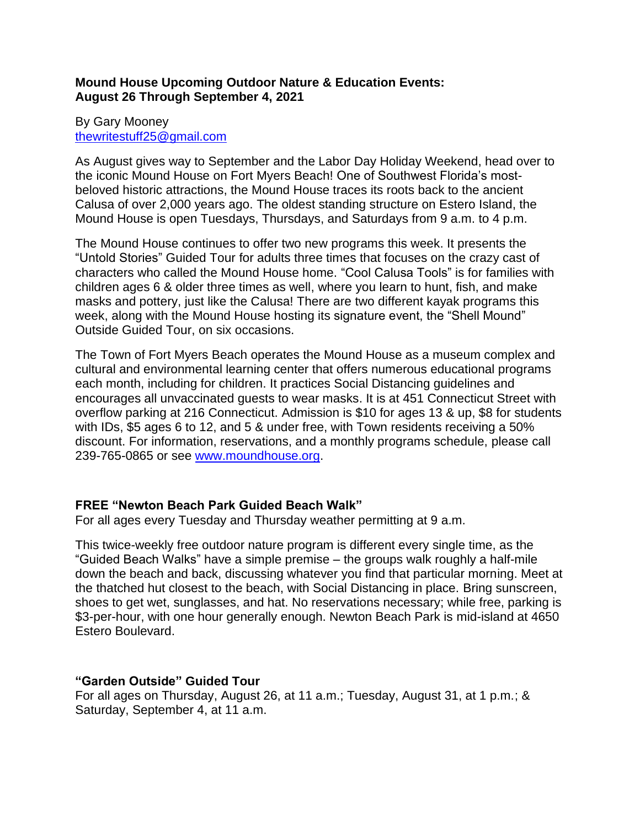## **Mound House Upcoming Outdoor Nature & Education Events: August 26 Through September 4, 2021**

## By Gary Mooney [thewritestuff25@gmail.com](mailto:thewritestuff25@gmail.com)

As August gives way to September and the Labor Day Holiday Weekend, head over to the iconic Mound House on Fort Myers Beach! One of Southwest Florida's mostbeloved historic attractions, the Mound House traces its roots back to the ancient Calusa of over 2,000 years ago. The oldest standing structure on Estero Island, the Mound House is open Tuesdays, Thursdays, and Saturdays from 9 a.m. to 4 p.m.

The Mound House continues to offer two new programs this week. It presents the "Untold Stories" Guided Tour for adults three times that focuses on the crazy cast of characters who called the Mound House home. "Cool Calusa Tools" is for families with children ages 6 & older three times as well, where you learn to hunt, fish, and make masks and pottery, just like the Calusa! There are two different kayak programs this week, along with the Mound House hosting its signature event, the "Shell Mound" Outside Guided Tour, on six occasions.

The Town of Fort Myers Beach operates the Mound House as a museum complex and cultural and environmental learning center that offers numerous educational programs each month, including for children. It practices Social Distancing guidelines and encourages all unvaccinated guests to wear masks. It is at 451 Connecticut Street with overflow parking at 216 Connecticut. Admission is \$10 for ages 13 & up, \$8 for students with IDs, \$5 ages 6 to 12, and 5 & under free, with Town residents receiving a 50% discount. For information, reservations, and a monthly programs schedule, please call 239-765-0865 or see [www.moundhouse.org.](http://www.moundhouse.org/)

# **FREE "Newton Beach Park Guided Beach Walk"**

For all ages every Tuesday and Thursday weather permitting at 9 a.m.

This twice-weekly free outdoor nature program is different every single time, as the "Guided Beach Walks" have a simple premise – the groups walk roughly a half-mile down the beach and back, discussing whatever you find that particular morning. Meet at the thatched hut closest to the beach, with Social Distancing in place. Bring sunscreen, shoes to get wet, sunglasses, and hat. No reservations necessary; while free, parking is \$3-per-hour, with one hour generally enough. Newton Beach Park is mid-island at 4650 Estero Boulevard.

# **"Garden Outside" Guided Tour**

For all ages on Thursday, August 26, at 11 a.m.; Tuesday, August 31, at 1 p.m.; & Saturday, September 4, at 11 a.m.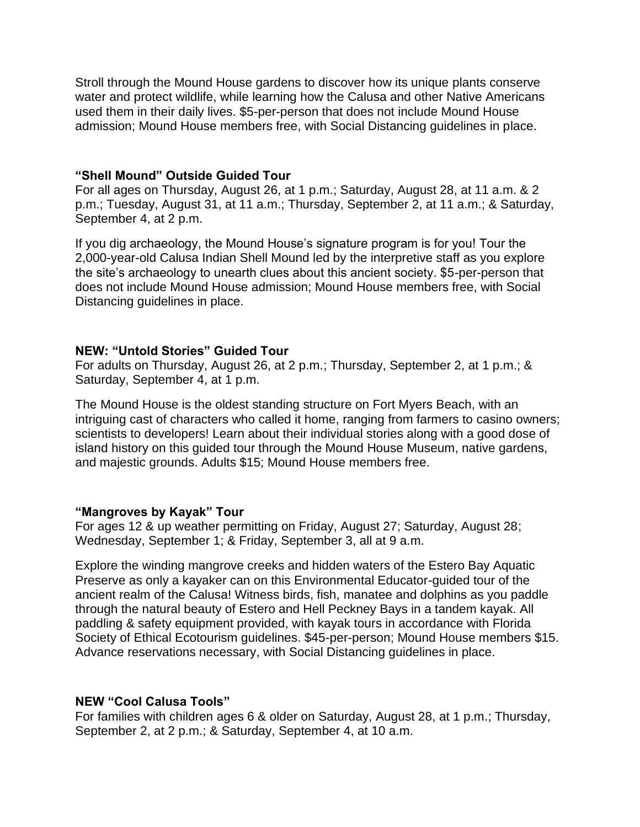Stroll through the Mound House gardens to discover how its unique plants conserve water and protect wildlife, while learning how the Calusa and other Native Americans used them in their daily lives. \$5-per-person that does not include Mound House admission; Mound House members free, with Social Distancing guidelines in place.

#### **"Shell Mound" Outside Guided Tour**

For all ages on Thursday, August 26, at 1 p.m.; Saturday, August 28, at 11 a.m. & 2 p.m.; Tuesday, August 31, at 11 a.m.; Thursday, September 2, at 11 a.m.; & Saturday, September 4, at 2 p.m.

If you dig archaeology, the Mound House's signature program is for you! Tour the 2,000-year-old Calusa Indian Shell Mound led by the interpretive staff as you explore the site's archaeology to unearth clues about this ancient society. \$5-per-person that does not include Mound House admission; Mound House members free, with Social Distancing guidelines in place.

### **NEW: "Untold Stories" Guided Tour**

For adults on Thursday, August 26, at 2 p.m.; Thursday, September 2, at 1 p.m.; & Saturday, September 4, at 1 p.m.

The Mound House is the oldest standing structure on Fort Myers Beach, with an intriguing cast of characters who called it home, ranging from farmers to casino owners; scientists to developers! Learn about their individual stories along with a good dose of island history on this guided tour through the Mound House Museum, native gardens, and majestic grounds. Adults \$15; Mound House members free.

## **"Mangroves by Kayak" Tour**

For ages 12 & up weather permitting on Friday, August 27; Saturday, August 28; Wednesday, September 1; & Friday, September 3, all at 9 a.m.

Explore the winding mangrove creeks and hidden waters of the Estero Bay Aquatic Preserve as only a kayaker can on this Environmental Educator-guided tour of the ancient realm of the Calusa! Witness birds, fish, manatee and dolphins as you paddle through the natural beauty of Estero and Hell Peckney Bays in a tandem kayak. All paddling & safety equipment provided, with kayak tours in accordance with Florida Society of Ethical Ecotourism guidelines. \$45-per-person; Mound House members \$15. Advance reservations necessary, with Social Distancing guidelines in place.

## **NEW "Cool Calusa Tools"**

For families with children ages 6 & older on Saturday, August 28, at 1 p.m.; Thursday, September 2, at 2 p.m.; & Saturday, September 4, at 10 a.m.